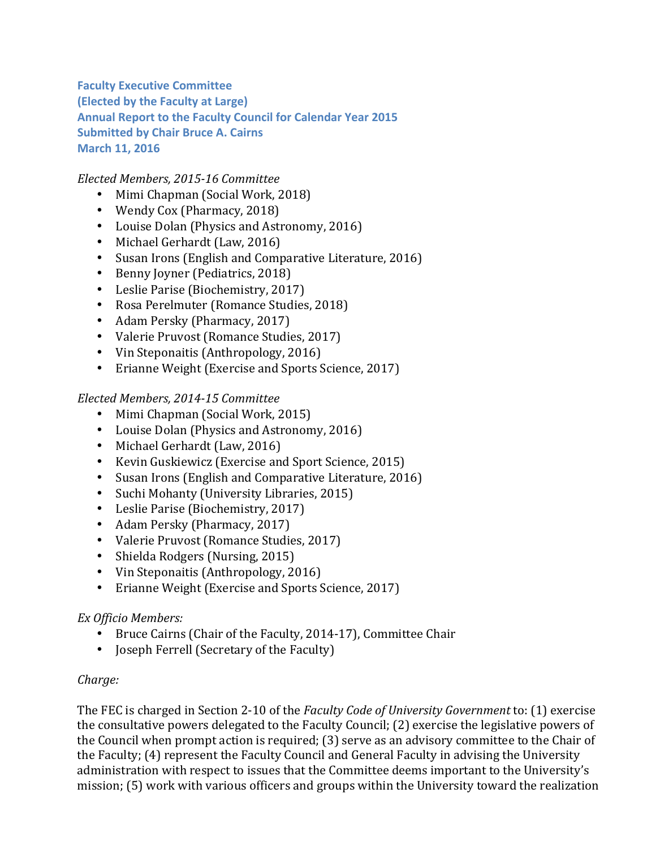**Faculty Executive Committee (Elected by the Faculty at Large) Annual Report to the Faculty Council for Calendar Year 2015 Submitted by Chair Bruce A. Cairns March 11, 2016** 

*Elected Members, 2015-16 Committee*

- Mimi Chapman (Social Work, 2018)
- Wendy Cox (Pharmacy, 2018)
- Louise Dolan (Physics and Astronomy, 2016)
- Michael Gerhardt (Law, 2016)
- Susan Irons (English and Comparative Literature, 2016)
- Benny Joyner (Pediatrics, 2018)
- Leslie Parise (Biochemistry, 2017)
- Rosa Perelmuter (Romance Studies, 2018)
- Adam Persky (Pharmacy, 2017)
- Valerie Pruvost (Romance Studies, 2017)
- Vin Steponaitis (Anthropology, 2016)
- Erianne Weight (Exercise and Sports Science, 2017)

### *Elected Members, 2014-15 Committee*

- Mimi Chapman (Social Work, 2015)
- Louise Dolan (Physics and Astronomy, 2016)
- Michael Gerhardt (Law, 2016)
- Kevin Guskiewicz (Exercise and Sport Science, 2015)
- Susan Irons (English and Comparative Literature, 2016)
- Suchi Mohanty (University Libraries, 2015)
- Leslie Parise (Biochemistry, 2017)
- Adam Persky (Pharmacy, 2017)
- Valerie Pruvost (Romance Studies, 2017)
- Shielda Rodgers (Nursing, 2015)
- Vin Steponaitis (Anthropology, 2016)
- Erianne Weight (Exercise and Sports Science, 2017)

### *Ex Officio Members:*

- Bruce Cairns (Chair of the Faculty, 2014-17), Committee Chair
- Joseph Ferrell (Secretary of the Faculty)

### *Charge:*

The FEC is charged in Section 2-10 of the *Faculty Code of University Government* to: (1) exercise the consultative powers delegated to the Faculty Council; (2) exercise the legislative powers of the Council when prompt action is required; (3) serve as an advisory committee to the Chair of the Faculty; (4) represent the Faculty Council and General Faculty in advising the University administration with respect to issues that the Committee deems important to the University's mission; (5) work with various officers and groups within the University toward the realization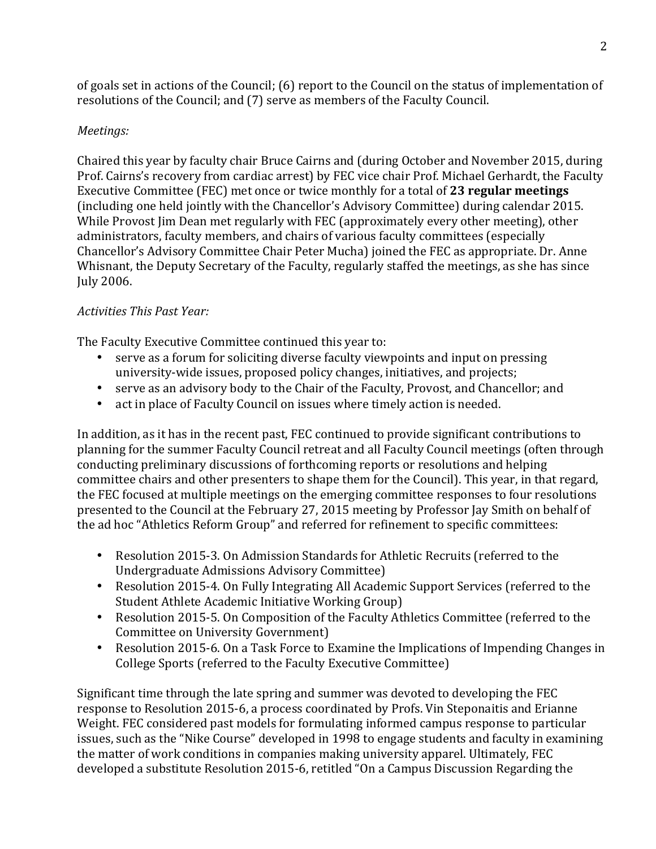of goals set in actions of the Council;  $(6)$  report to the Council on the status of implementation of resolutions of the Council; and (7) serve as members of the Faculty Council.

# *Meetings:*

Chaired this year by faculty chair Bruce Cairns and (during October and November 2015, during Prof. Cairns's recovery from cardiac arrest) by FEC vice chair Prof. Michael Gerhardt, the Faculty Executive Committee (FEC) met once or twice monthly for a total of 23 **regular meetings** (including one held jointly with the Chancellor's Advisory Committee) during calendar 2015. While Provost Iim Dean met regularly with FEC (approximately every other meeting), other administrators, faculty members, and chairs of various faculty committees (especially Chancellor's Advisory Committee Chair Peter Mucha) joined the FEC as appropriate. Dr. Anne Whisnant, the Deputy Secretary of the Faculty, regularly staffed the meetings, as she has since July 2006.

## *Activities This Past Year:*

The Faculty Executive Committee continued this year to: 

- serve as a forum for soliciting diverse faculty viewpoints and input on pressing university-wide issues, proposed policy changes, initiatives, and projects;
- serve as an advisory body to the Chair of the Faculty, Provost, and Chancellor; and
- act in place of Faculty Council on issues where timely action is needed.

In addition, as it has in the recent past, FEC continued to provide significant contributions to planning for the summer Faculty Council retreat and all Faculty Council meetings (often through conducting preliminary discussions of forthcoming reports or resolutions and helping committee chairs and other presenters to shape them for the Council). This year, in that regard, the FEC focused at multiple meetings on the emerging committee responses to four resolutions presented to the Council at the February 27, 2015 meeting by Professor Jay Smith on behalf of the ad hoc "Athletics Reform Group" and referred for refinement to specific committees:

- Resolution 2015-3. On Admission Standards for Athletic Recruits (referred to the Undergraduate Admissions Advisory Committee)
- Resolution 2015-4. On Fully Integrating All Academic Support Services (referred to the Student Athlete Academic Initiative Working Group)
- Resolution 2015-5. On Composition of the Faculty Athletics Committee (referred to the Committee on University Government)
- Resolution 2015-6. On a Task Force to Examine the Implications of Impending Changes in College Sports (referred to the Faculty Executive Committee)

Significant time through the late spring and summer was devoted to developing the FEC response to Resolution 2015-6, a process coordinated by Profs. Vin Steponaitis and Erianne Weight. FEC considered past models for formulating informed campus response to particular issues, such as the "Nike Course" developed in 1998 to engage students and faculty in examining the matter of work conditions in companies making university apparel. Ultimately, FEC developed a substitute Resolution 2015-6, retitled "On a Campus Discussion Regarding the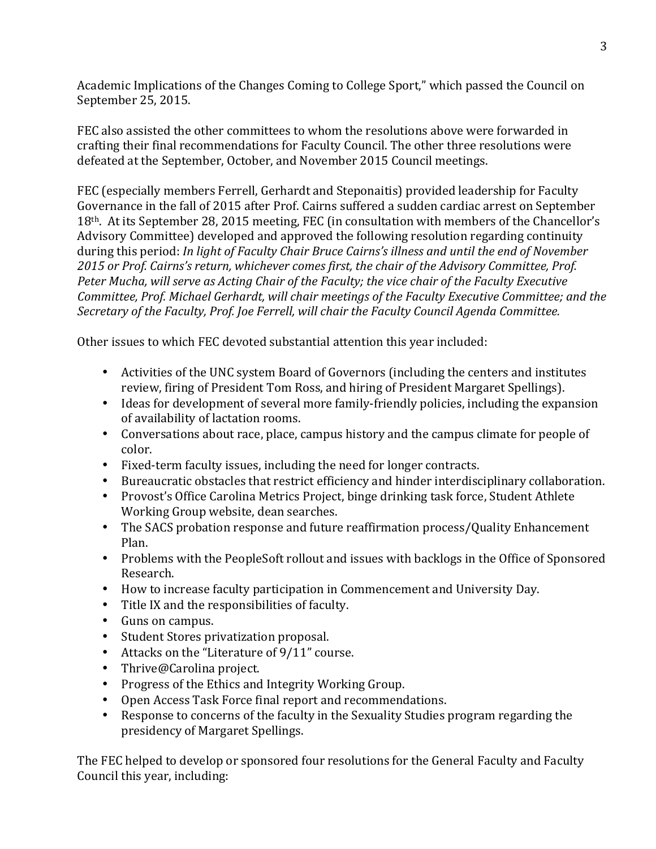Academic Implications of the Changes Coming to College Sport," which passed the Council on September 25, 2015.

FEC also assisted the other committees to whom the resolutions above were forwarded in crafting their final recommendations for Faculty Council. The other three resolutions were defeated at the September, October, and November 2015 Council meetings.

FEC (especially members Ferrell, Gerhardt and Steponaitis) provided leadership for Faculty Governance in the fall of 2015 after Prof. Cairns suffered a sudden cardiac arrest on September 18<sup>th</sup>. At its September 28, 2015 meeting, FEC (in consultation with members of the Chancellor's Advisory Committee) developed and approved the following resolution regarding continuity during this period: *In light of Faculty Chair Bruce Cairns's illness and until the end of November* 2015 or Prof. Cairns's return, whichever comes first, the chair of the Advisory Committee, Prof. Peter Mucha, will serve as Acting Chair of the Faculty; the vice chair of the Faculty Executive *Committee, Prof. Michael Gerhardt, will chair meetings of the Faculty Executive Committee; and the* Secretary of the Faculty, Prof. Joe Ferrell, will chair the Faculty Council Agenda Committee.

Other issues to which FEC devoted substantial attention this year included:

- Activities of the UNC system Board of Governors (including the centers and institutes review, firing of President Tom Ross, and hiring of President Margaret Spellings).
- Ideas for development of several more family-friendly policies, including the expansion of availability of lactation rooms.
- Conversations about race, place, campus history and the campus climate for people of color.
- Fixed-term faculty issues, including the need for longer contracts.
- Bureaucratic obstacles that restrict efficiency and hinder interdisciplinary collaboration.
- Provost's Office Carolina Metrics Project, binge drinking task force, Student Athlete Working Group website, dean searches.
- The SACS probation response and future reaffirmation process/Quality Enhancement Plan.
- Problems with the PeopleSoft rollout and issues with backlogs in the Office of Sponsored Research.
- How to increase faculty participation in Commencement and University Day.
- Title IX and the responsibilities of faculty.
- Guns on campus.
- Student Stores privatization proposal.
- Attacks on the "Literature of 9/11" course.
- Thrive@Carolina project.
- Progress of the Ethics and Integrity Working Group.
- Open Access Task Force final report and recommendations.
- Response to concerns of the faculty in the Sexuality Studies program regarding the presidency of Margaret Spellings.

The FEC helped to develop or sponsored four resolutions for the General Faculty and Faculty Council this year, including: